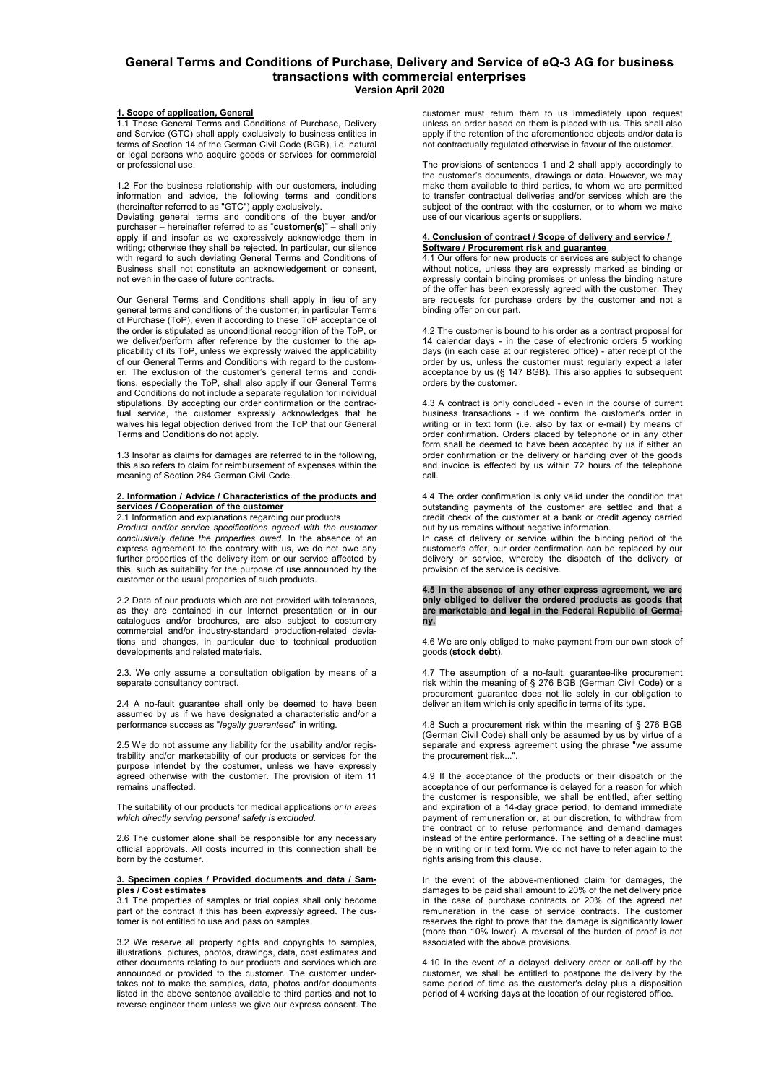# **General Terms and Conditions of Purchase, Delivery and Service of eQ-3 AG for business transactions with commercial enterprises Version April 2020**

# **1. Scope of application, General**

1.1 These General Terms and Conditions of Purchase, Delivery and Service (GTC) shall apply exclusively to business entities in terms of Section 14 of the German Civil Code (BGB), i.e. natural or legal persons who acquire goods or services for commercial or professional use.

1.2 For the business relationship with our customers, including information and advice, the following terms and conditions (hereinafter referred to as "GTC") apply exclusively.

Deviating general terms and conditions of the buyer and/or purchaser – hereinafter referred to as "**customer(s)**" – shall only apply if and insofar as we expressively acknowledge them in writing; otherwise they shall be rejected. In particular, our silence with regard to such deviating General Terms and Conditions of Business shall not constitute an acknowledgement or consent, not even in the case of future contracts.

Our General Terms and Conditions shall apply in lieu of any general terms and conditions of the customer, in particular Terms of Purchase (ToP), even if according to these ToP acceptance of the order is stipulated as unconditional recognition of the ToP, or we deliver/perform after reference by the customer to the applicability of its ToP, unless we expressly waived the applicability of our General Terms and Conditions with regard to the customer. The exclusion of the customer's general terms and conditions, especially the ToP, shall also apply if our General Terms and Conditions do not include a separate regulation for individual stipulations. By accepting our order confirmation or the contractual service, the customer expressly acknowledges that he waives his legal objection derived from the ToP that our General Terms and Conditions do not apply.

1.3 Insofar as claims for damages are referred to in the following, this also refers to claim for reimbursement of expenses within the meaning of Section 284 German Civil Code.

#### **2. Information / Advice / Characteristics of the products and services / Cooperation of the customer**

2.1 Information and explanations regarding our products *Product and/or service specifications agreed with the customer conclusively define the properties owed.* In the absence of an express agreement to the contrary with us, we do not owe any further properties of the delivery item or our service affected by this, such as suitability for the purpose of use announced by the customer or the usual properties of such products.

2.2 Data of our products which are not provided with tolerances, as they are contained in our Internet presentation or in our catalogues and/or brochures, are also subject to costumery commercial and/or industry-standard production-related deviations and changes, in particular due to technical production developments and related materials.

2.3. We only assume a consultation obligation by means of a separate consultancy contract.

2.4 A no-fault guarantee shall only be deemed to have been assumed by us if we have designated a characteristic and/or a performance success as "*legally guaranteed*" in writing.

2.5 We do not assume any liability for the usability and/or registrability and/or marketability of our products or services for the purpose intendet by the costumer, unless we have expressly agreed otherwise with the customer. The provision of item 11 remains unaffected.

The suitability of our products for medical applications *or in areas which directly serving personal safety is excluded.*

2.6 The customer alone shall be responsible for any necessary official approvals. All costs incurred in this connection shall be born by the costumer.

### **3. Specimen copies / Provided documents and data / Samples / Cost estimates**

3.1 The properties of samples or trial copies shall only become part of the contract if this has been *expressly* agreed. The customer is not entitled to use and pass on samples.

3.2 We reserve all property rights and copyrights to samples, illustrations, pictures, photos, drawings, data, cost estimates and other documents relating to our products and services which are announced or provided to the customer. The customer undertakes not to make the samples, data, photos and/or documents listed in the above sentence available to third parties and not to reverse engineer them unless we give our express consent. The

customer must return them to us immediately upon request unless an order based on them is placed with us. This shall also apply if the retention of the aforementioned objects and/or data is not contractually regulated otherwise in favour of the customer.

The provisions of sentences 1 and 2 shall apply accordingly to the customer's documents, drawings or data. However, we may make them available to third parties, to whom we are permitted to transfer contractual deliveries and/or services which are the subject of the contract with the costumer, or to whom we make use of our vicarious agents or suppliers.

## **4. Conclusion of contract / Scope of delivery and service / Software / Procurement risk and guarantee**

4.1 Our offers for new products or services are subject to change without notice, unless they are expressly marked as binding or expressly contain binding promises or unless the binding nature of the offer has been expressly agreed with the customer. They are requests for purchase orders by the customer and not a binding offer on our part.

4.2 The customer is bound to his order as a contract proposal for 14 calendar days - in the case of electronic orders 5 working days (in each case at our registered office) - after receipt of the order by us, unless the customer must regularly expect a later acceptance by us (§ 147 BGB). This also applies to subsequent orders by the customer.

4.3 A contract is only concluded - even in the course of current business transactions - if we confirm the customer's order in writing or in text form (i.e. also by fax or e-mail) by means of order confirmation. Orders placed by telephone or in any other form shall be deemed to have been accepted by us if either an order confirmation or the delivery or handing over of the goods and invoice is effected by us within 72 hours of the telephone call.

4.4 The order confirmation is only valid under the condition that outstanding payments of the customer are settled and that a credit check of the customer at a bank or credit agency carried out by us remains without negative information.

In case of delivery or service within the binding period of the customer's offer, our order confirmation can be replaced by our delivery or service, whereby the dispatch of the delivery or provision of the service is decisive.

**4.5 In the absence of any other express agreement, we are only obliged to deliver the ordered products as goods that are marketable and legal in the Federal Republic of Germany.** 

4.6 We are only obliged to make payment from our own stock of goods (**stock debt**).

4.7 The assumption of a no-fault, guarantee-like procurement risk within the meaning of § 276 BGB (German Civil Code) or a procurement guarantee does not lie solely in our obligation to deliver an item which is only specific in terms of its type.

4.8 Such a procurement risk within the meaning of § 276 BGB (German Civil Code) shall only be assumed by us by virtue of a separate and express agreement using the phrase "we assume the procurement risk...'

4.9 If the acceptance of the products or their dispatch or the acceptance of our performance is delayed for a reason for which the customer is responsible, we shall be entitled, after setting and expiration of a 14-day grace period, to demand immediate payment of remuneration or, at our discretion, to withdraw from the contract or to refuse performance and demand damages instead of the entire performance. The setting of a deadline must be in writing or in text form. We do not have to refer again to the rights arising from this clause.

In the event of the above-mentioned claim for damages, the damages to be paid shall amount to 20% of the net delivery price in the case of purchase contracts or 20% of the agreed net remuneration in the case of service contracts. The customer reserves the right to prove that the damage is significantly lower (more than 10% lower). A reversal of the burden of proof is not associated with the above provisions.

4.10 In the event of a delayed delivery order or call-off by the customer, we shall be entitled to postpone the delivery by the same period of time as the customer's delay plus a disposition period of 4 working days at the location of our registered office.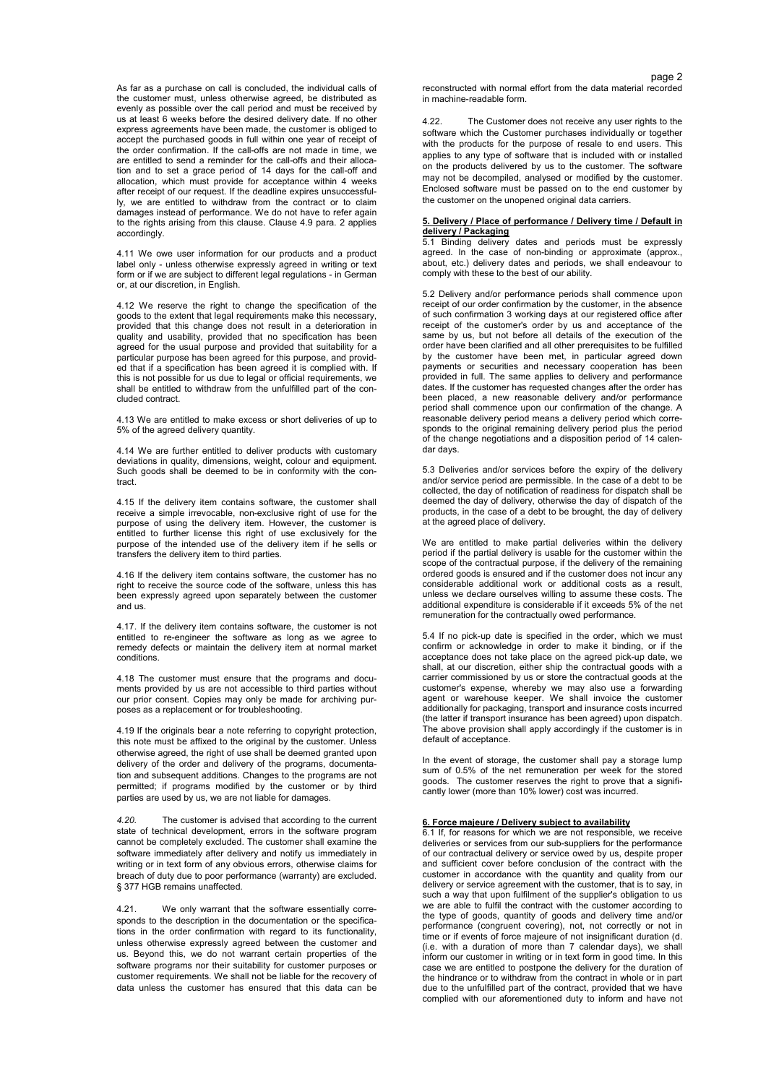As far as a purchase on call is concluded, the individual calls of the customer must, unless otherwise agreed, be distributed as evenly as possible over the call period and must be received by us at least 6 weeks before the desired delivery date. If no other express agreements have been made, the customer is obliged to accept the purchased goods in full within one year of receipt of the order confirmation. If the call-offs are not made in time, we are entitled to send a reminder for the call-offs and their allocation and to set a grace period of 14 days for the call-off and allocation, which must provide for acceptance within 4 weeks after receipt of our request. If the deadline expires unsuccessfully, we are entitled to withdraw from the contract or to claim damages instead of performance. We do not have to refer again to the rights arising from this clause. Clause 4.9 para. 2 applies accordingly.

4.11 We owe user information for our products and a product label only - unless otherwise expressly agreed in writing or text form or if we are subject to different legal regulations - in German or, at our discretion, in English.

4.12 We reserve the right to change the specification of the goods to the extent that legal requirements make this necessary, provided that this change does not result in a deterioration in quality and usability, provided that no specification has been agreed for the usual purpose and provided that suitability for a particular purpose has been agreed for this purpose, and provided that if a specification has been agreed it is complied with. If this is not possible for us due to legal or official requirements, we shall be entitled to withdraw from the unfulfilled part of the concluded contract.

4.13 We are entitled to make excess or short deliveries of up to 5% of the agreed delivery quantity.

4.14 We are further entitled to deliver products with customary deviations in quality, dimensions, weight, colour and equipment. Such goods shall be deemed to be in conformity with the contract.

4.15 If the delivery item contains software, the customer shall receive a simple irrevocable, non-exclusive right of use for the purpose of using the delivery item. However, the customer is entitled to further license this right of use exclusively for the purpose of the intended use of the delivery item if he sells or transfers the delivery item to third parties.

4.16 If the delivery item contains software, the customer has no right to receive the source code of the software, unless this has been expressly agreed upon separately between the customer and us.

4.17. If the delivery item contains software, the customer is not entitled to re-engineer the software as long as we agree to remedy defects or maintain the delivery item at normal market conditions.

4.18 The customer must ensure that the programs and documents provided by us are not accessible to third parties without our prior consent. Copies may only be made for archiving purposes as a replacement or for troubleshooting.

4.19 If the originals bear a note referring to copyright protection, this note must be affixed to the original by the customer. Unless otherwise agreed, the right of use shall be deemed granted upon delivery of the order and delivery of the programs, documentation and subsequent additions. Changes to the programs are not permitted; if programs modified by the customer or by third parties are used by us, we are not liable for damages.

*4.20.* The customer is advised that according to the current state of technical development, errors in the software program cannot be completely excluded. The customer shall examine the software immediately after delivery and notify us immediately in writing or in text form of any obvious errors, otherwise claims for breach of duty due to poor performance (warranty) are excluded. § 377 HGB remains unaffected*.* 

4.21. We only warrant that the software essentially corresponds to the description in the documentation or the specifications in the order confirmation with regard to its functionality, unless otherwise expressly agreed between the customer and us. Beyond this, we do not warrant certain properties of the software programs nor their suitability for customer purposes or customer requirements. We shall not be liable for the recovery of data unless the customer has ensured that this data can be

page 2 reconstructed with normal effort from the data material recorded in machine-readable form.

> 4.22. The Customer does not receive any user rights to the software which the Customer purchases individually or together with the products for the purpose of resale to end users. This applies to any type of software that is included with or installed on the products delivered by us to the customer. The software may not be decompiled, analysed or modified by the customer. Enclosed software must be passed on to the end customer by the customer on the unopened original data carriers.

#### **5. Delivery / Place of performance / Delivery time / Default in delivery / Packaging**

5.1 Binding delivery dates and periods must be expressly agreed. In the case of non-binding or approximate (approx., about, etc.) delivery dates and periods, we shall endeavour to comply with these to the best of our ability.

5.2 Delivery and/or performance periods shall commence upon receipt of our order confirmation by the customer, in the absence of such confirmation 3 working days at our registered office after receipt of the customer's order by us and acceptance of the same by us, but not before all details of the execution of the order have been clarified and all other prerequisites to be fulfilled by the customer have been met, in particular agreed down payments or securities and necessary cooperation has been provided in full. The same applies to delivery and performance dates. If the customer has requested changes after the order has been placed, a new reasonable delivery and/or performance period shall commence upon our confirmation of the change. A reasonable delivery period means a delivery period which corresponds to the original remaining delivery period plus the period of the change negotiations and a disposition period of 14 calendar days.

5.3 Deliveries and/or services before the expiry of the delivery and/or service period are permissible. In the case of a debt to be collected, the day of notification of readiness for dispatch shall be deemed the day of delivery, otherwise the day of dispatch of the products, in the case of a debt to be brought, the day of delivery at the agreed place of delivery.

We are entitled to make partial deliveries within the delivery period if the partial delivery is usable for the customer within the scope of the contractual purpose, if the delivery of the remaining ordered goods is ensured and if the customer does not incur any considerable additional work or additional costs as a result, unless we declare ourselves willing to assume these costs. The additional expenditure is considerable if it exceeds 5% of the net remuneration for the contractually owed performance.

5.4 If no pick-up date is specified in the order, which we must confirm or acknowledge in order to make it binding, or if the acceptance does not take place on the agreed pick-up date, we shall, at our discretion, either ship the contractual goods with a carrier commissioned by us or store the contractual goods at the customer's expense, whereby we may also use a forwarding agent or warehouse keeper. We shall invoice the customer additionally for packaging, transport and insurance costs incurred (the latter if transport insurance has been agreed) upon dispatch. The above provision shall apply accordingly if the customer is in default of acceptance.

In the event of storage, the customer shall pay a storage lump sum of 0.5% of the net remuneration per week for the stored goods. The customer reserves the right to prove that a significantly lower (more than 10% lower) cost was incurred.

# **6. Force majeure / Delivery subject to availability**

6.1 If, for reasons for which we are not responsible, we receive deliveries or services from our sub-suppliers for the performance of our contractual delivery or service owed by us, despite proper and sufficient cover before conclusion of the contract with the customer in accordance with the quantity and quality from our delivery or service agreement with the customer, that is to say, in such a way that upon fulfilment of the supplier's obligation to us we are able to fulfil the contract with the customer according to the type of goods, quantity of goods and delivery time and/or performance (congruent covering), not, not correctly or not in time or if events of force majeure of not insignificant duration (d. (i.e. with a duration of more than 7 calendar days), we shall inform our customer in writing or in text form in good time. In this case we are entitled to postpone the delivery for the duration of the hindrance or to withdraw from the contract in whole or in part due to the unfulfilled part of the contract, provided that we have complied with our aforementioned duty to inform and have not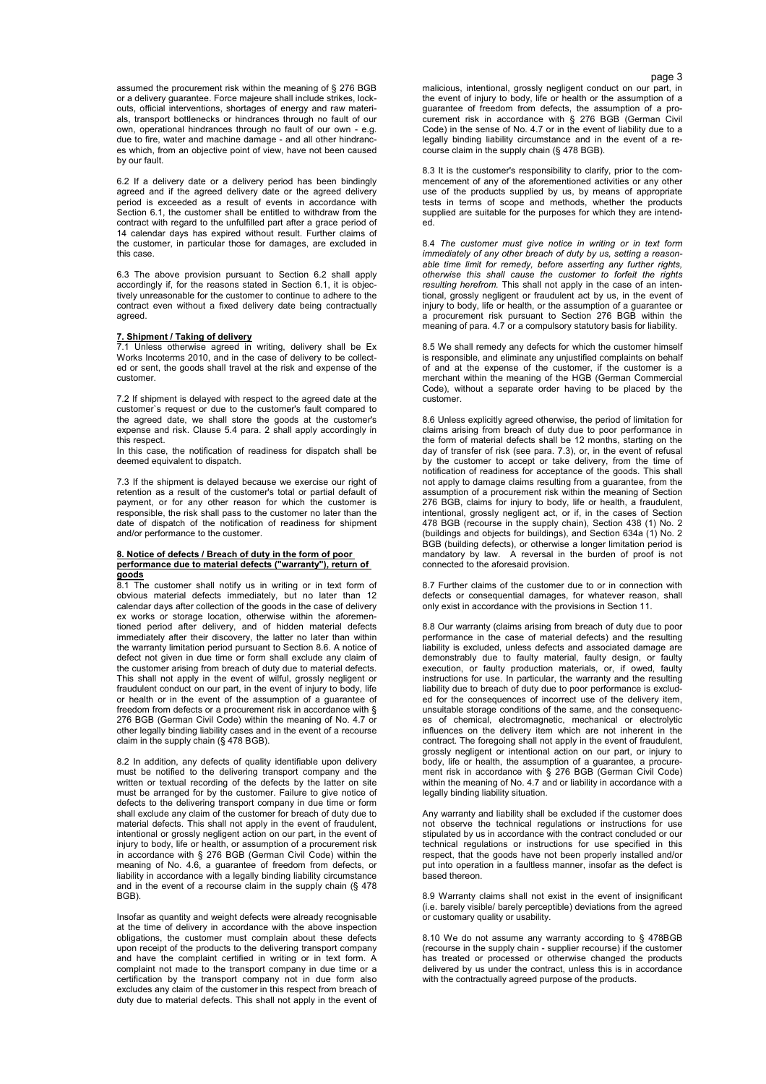assumed the procurement risk within the meaning of § 276 BGB or a delivery guarantee. Force majeure shall include strikes, lockouts, official interventions, shortages of energy and raw materials, transport bottlenecks or hindrances through no fault of our own, operational hindrances through no fault of our own - e.g. due to fire, water and machine damage - and all other hindrances which, from an objective point of view, have not been caused by our fault.

6.2 If a delivery date or a delivery period has been bindingly agreed and if the agreed delivery date or the agreed delivery period is exceeded as a result of events in accordance with .<br>Section 6.1, the customer shall be entitled to withdraw from the contract with regard to the unfulfilled part after a grace period of 14 calendar days has expired without result. Further claims of the customer, in particular those for damages, are excluded in this case.

6.3 The above provision pursuant to Section 6.2 shall apply accordingly if, for the reasons stated in Section 6.1, it is objectively unreasonable for the customer to continue to adhere to the contract even without a fixed delivery date being contractually agreed.

#### **7. Shipment / Taking of delivery**

7.1 Unless otherwise agreed in writing, delivery shall be Ex Works Incoterms 2010, and in the case of delivery to be collected or sent, the goods shall travel at the risk and expense of the customer.

7.2 If shipment is delayed with respect to the agreed date at the customer`s request or due to the customer's fault compared to the agreed date, we shall store the goods at the customer's expense and risk. Clause 5.4 para. 2 shall apply accordingly in this respect.

In this case, the notification of readiness for dispatch shall be deemed equivalent to dispatch.

7.3 If the shipment is delayed because we exercise our right of retention as a result of the customer's total or partial default of payment, or for any other reason for which the customer is responsible, the risk shall pass to the customer no later than the date of dispatch of the notification of readiness for shipment and/or performance to the customer.

# **8. Notice of defects / Breach of duty in the form of poor performance due to material defects ("warranty"), return of goods**

8.1 The customer shall notify us in writing or in text form of obvious material defects immediately, but no later than 12 calendar days after collection of the goods in the case of delivery ex works or storage location, otherwise within the aforementioned period after delivery, and of hidden material defects immediately after their discovery, the latter no later than within the warranty limitation period pursuant to Section 8.6. A notice of defect not given in due time or form shall exclude any claim of the customer arising from breach of duty due to material defects. This shall not apply in the event of wilful, grossly negligent or fraudulent conduct on our part, in the event of injury to body, life or health or in the event of the assumption of a guarantee of freedom from defects or a procurement risk in accordance with § 276 BGB (German Civil Code) within the meaning of No. 4.7 or other legally binding liability cases and in the event of a recourse claim in the supply chain (§ 478 BGB).

8.2 In addition, any defects of quality identifiable upon delivery must be notified to the delivering transport company and the written or textual recording of the defects by the latter on site must be arranged for by the customer. Failure to give notice of defects to the delivering transport company in due time or form shall exclude any claim of the customer for breach of duty due to material defects. This shall not apply in the event of fraudulent, intentional or grossly negligent action on our part, in the event of injury to body, life or health, or assumption of a procurement risk in accordance with § 276 BGB (German Civil Code) within the meaning of No. 4.6, a guarantee of freedom from defects, or liability in accordance with a legally binding liability circumstance and in the event of a recourse claim in the supply chain (§ 478 BGB).

Insofar as quantity and weight defects were already recognisable at the time of delivery in accordance with the above inspection obligations, the customer must complain about these defects upon receipt of the products to the delivering transport company and have the complaint certified in writing or in text form. A complaint not made to the transport company in due time or a certification by the transport company not in due form also excludes any claim of the customer in this respect from breach of duty due to material defects. This shall not apply in the event of

page 3 malicious, intentional, grossly negligent conduct on our part, in the event of injury to body, life or health or the assumption of a guarantee of freedom from defects, the assumption of a procurement risk in accordance with § 276 BGB (German Civil Code) in the sense of No. 4.7 or in the event of liability due to a legally binding liability circumstance and in the event of a recourse claim in the supply chain (§ 478 BGB).

> 8.3 It is the customer's responsibility to clarify, prior to the commencement of any of the aforementioned activities or any other use of the products supplied by us, by means of appropriate tests in terms of scope and methods, whether the products supplied are suitable for the purposes for which they are intended.

> 8.4 *The customer must give notice in writing or in text form immediately of any other breach of duty by us, setting a reasonable time limit for remedy, before asserting any further rights, otherwise this shall cause the customer to forfeit the rights resulting herefrom.* This shall not apply in the case of an intentional, grossly negligent or fraudulent act by us, in the event of injury to body, life or health, or the assumption of a guarantee or a procurement risk pursuant to Section 276 BGB within the meaning of para. 4.7 or a compulsory statutory basis for liability.

> 8.5 We shall remedy any defects for which the customer himself is responsible, and eliminate any unjustified complaints on behalf of and at the expense of the customer, if the customer is a merchant within the meaning of the HGB (German Commercial Code), without a separate order having to be placed by the customer.

> 8.6 Unless explicitly agreed otherwise, the period of limitation for claims arising from breach of duty due to poor performance in the form of material defects shall be 12 months, starting on the day of transfer of risk (see para. 7.3), or, in the event of refusal by the customer to accept or take delivery, from the time of notification of readiness for acceptance of the goods. This shall not apply to damage claims resulting from a guarantee, from the assumption of a procurement risk within the meaning of Section 276 BGB, claims for injury to body, life or health, a fraudulent, intentional, grossly negligent act, or if, in the cases of Section 478 BGB (recourse in the supply chain), Section 438 (1) No. 2 (buildings and objects for buildings), and Section 634a (1) No. 2 BGB (building defects), or otherwise a longer limitation period is mandatory by law. A reversal in the burden of proof is not connected to the aforesaid provision.

> 8.7 Further claims of the customer due to or in connection with defects or consequential damages, for whatever reason, shall only exist in accordance with the provisions in Section 11.

> 8.8 Our warranty (claims arising from breach of duty due to poor performance in the case of material defects) and the resulting liability is excluded, unless defects and associated damage are demonstrably due to faulty material, faulty design, or faulty execution, or faulty production materials, or, if owed, faulty instructions for use. In particular, the warranty and the resulting liability due to breach of duty due to poor performance is excluded for the consequences of incorrect use of the delivery item, unsuitable storage conditions of the same, and the consequences of chemical, electromagnetic, mechanical or electrolytic influences on the delivery item which are not inherent in the contract. The foregoing shall not apply in the event of fraudulent, grossly negligent or intentional action on our part, or injury to body, life or health, the assumption of a guarantee, a procurement risk in accordance with § 276 BGB (German Civil Code) within the meaning of No. 4.7 and or liability in accordance with a legally binding liability situation.

> Any warranty and liability shall be excluded if the customer does not observe the technical regulations or instructions for use stipulated by us in accordance with the contract concluded or our technical regulations or instructions for use specified in this respect, that the goods have not been properly installed and/or put into operation in a faultless manner, insofar as the defect is based thereon.

> 8.9 Warranty claims shall not exist in the event of insignificant (i.e. barely visible/ barely perceptible) deviations from the agreed or customary quality or usability.

> 8.10 We do not assume any warranty according to § 478BGB (recourse in the supply chain - supplier recourse) if the customer has treated or processed or otherwise changed the products delivered by us under the contract, unless this is in accordance with the contractually agreed purpose of the products.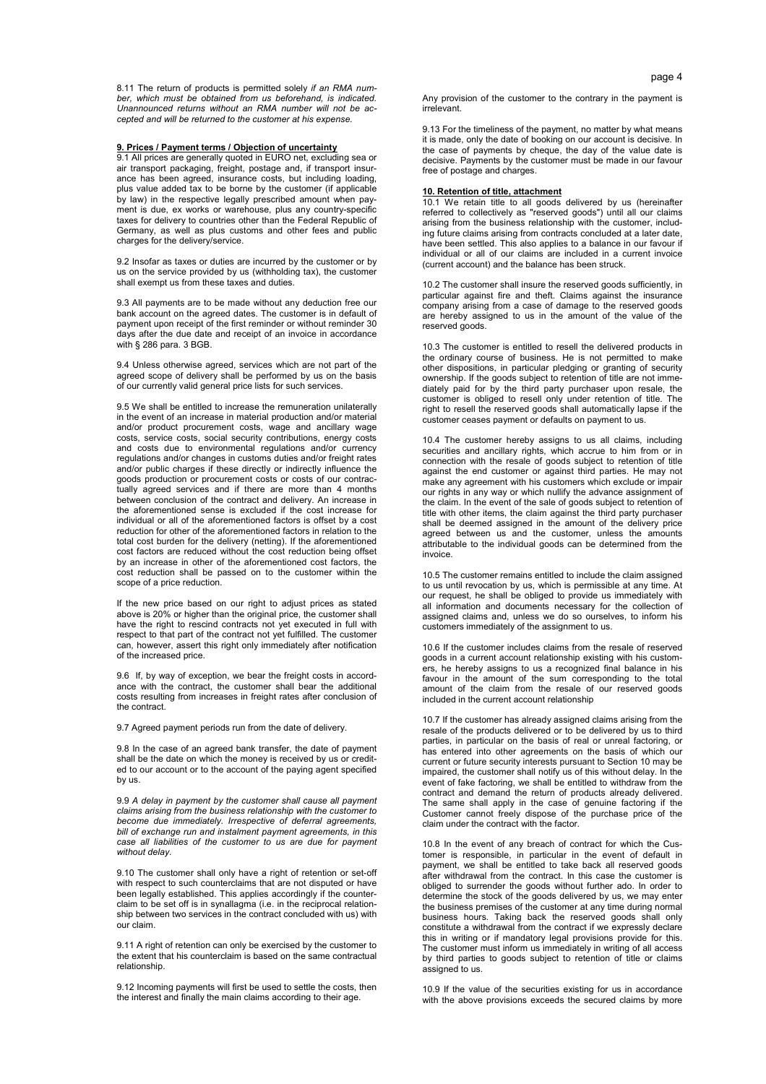8.11 The return of products is permitted solely *if an RMA number, which must be obtained from us beforehand, is indicated. Unannounced returns without an RMA number will not be accepted and will be returned to the customer at his expense.* 

# **9. Prices / Payment terms / Objection of uncertainty**

9.1 All prices are generally quoted in EURO net, excluding sea or air transport packaging, freight, postage and, if transport insurance has been agreed, insurance costs, but including loading, plus value added tax to be borne by the customer (if applicable by law) in the respective legally prescribed amount when payment is due, ex works or warehouse, plus any country-specific taxes for delivery to countries other than the Federal Republic of Germany, as well as plus customs and other fees and public charges for the delivery/service.

9.2 Insofar as taxes or duties are incurred by the customer or by us on the service provided by us (withholding tax), the customer shall exempt us from these taxes and duties.

9.3 All payments are to be made without any deduction free our bank account on the agreed dates. The customer is in default of payment upon receipt of the first reminder or without reminder 30 days after the due date and receipt of an invoice in accordance with § 286 para. 3 BGB.

9.4 Unless otherwise agreed, services which are not part of the agreed scope of delivery shall be performed by us on the basis of our currently valid general price lists for such services.

9.5 We shall be entitled to increase the remuneration unilaterally in the event of an increase in material production and/or material and/or product procurement costs, wage and ancillary wage costs, service costs, social security contributions, energy costs and costs due to environmental regulations and/or currency regulations and/or changes in customs duties and/or freight rates and/or public charges if these directly or indirectly influence the goods production or procurement costs or costs of our contractually agreed services and if there are more than 4 months between conclusion of the contract and delivery. An increase in the aforementioned sense is excluded if the cost increase for individual or all of the aforementioned factors is offset by a cost reduction for other of the aforementioned factors in relation to the total cost burden for the delivery (netting). If the aforementioned cost factors are reduced without the cost reduction being offset by an increase in other of the aforementioned cost factors, the cost reduction shall be passed on to the customer within the scope of a price reduction.

If the new price based on our right to adjust prices as stated above is 20% or higher than the original price, the customer shall have the right to rescind contracts not yet executed in full with respect to that part of the contract not yet fulfilled. The customer can, however, assert this right only immediately after notification of the increased price.

9.6 If, by way of exception, we bear the freight costs in accordance with the contract, the customer shall bear the additional costs resulting from increases in freight rates after conclusion of the contract.

9.7 Agreed payment periods run from the date of delivery.

9.8 In the case of an agreed bank transfer, the date of payment shall be the date on which the money is received by us or credited to our account or to the account of the paying agent specified by us.

9.9 *A delay in payment by the customer shall cause all payment claims arising from the business relationship with the customer to become due immediately. Irrespective of deferral agreements, bill of exchange run and instalment payment agreements, in this case all liabilities of the customer to us are due for payment without delay.*

9.10 The customer shall only have a right of retention or set-off with respect to such counterclaims that are not disputed or have been legally established. This applies accordingly if the counterclaim to be set off is in synallagma (i.e. in the reciprocal relationship between two services in the contract concluded with us) with our claim.

9.11 A right of retention can only be exercised by the customer to the extent that his counterclaim is based on the same contractual relationship.

9.12 Incoming payments will first be used to settle the costs, then the interest and finally the main claims according to their age.

Any provision of the customer to the contrary in the payment is irrelevant.

9.13 For the timeliness of the payment, no matter by what means it is made, only the date of booking on our account is decisive. In the case of payments by cheque, the day of the value date is decisive. Payments by the customer must be made in our favour free of postage and charges.

#### **10. Retention of title, attachment**

10.1 We retain title to all goods delivered by us (hereinafter referred to collectively as "reserved goods") until all our claims arising from the business relationship with the customer, including future claims arising from contracts concluded at a later date, have been settled. This also applies to a balance in our favour if individual or all of our claims are included in a current invoice (current account) and the balance has been struck.

10.2 The customer shall insure the reserved goods sufficiently, in particular against fire and theft. Claims against the insurance company arising from a case of damage to the reserved goods are hereby assigned to us in the amount of the value of the reserved goods.

10.3 The customer is entitled to resell the delivered products in the ordinary course of business. He is not permitted to make other dispositions, in particular pledging or granting of security ownership. If the goods subject to retention of title are not immediately paid for by the third party purchaser upon resale, the customer is obliged to resell only under retention of title. The right to resell the reserved goods shall automatically lapse if the customer ceases payment or defaults on payment to us.

10.4 The customer hereby assigns to us all claims, including securities and ancillary rights, which accrue to him from or in connection with the resale of goods subject to retention of title against the end customer or against third parties. He may not make any agreement with his customers which exclude or impair our rights in any way or which nullify the advance assignment of the claim. In the event of the sale of goods subject to retention of title with other items, the claim against the third party purchaser shall be deemed assigned in the amount of the delivery price agreed between us and the customer, unless the amounts attributable to the individual goods can be determined from the invoice.

10.5 The customer remains entitled to include the claim assigned to us until revocation by us, which is permissible at any time. At our request, he shall be obliged to provide us immediately with all information and documents necessary for the collection of assigned claims and, unless we do so ourselves, to inform his customers immediately of the assignment to us.

10.6 If the customer includes claims from the resale of reserved goods in a current account relationship existing with his customers, he hereby assigns to us a recognized final balance in his favour in the amount of the sum corresponding to the total amount of the claim from the resale of our reserved goods included in the current account relationship

10.7 If the customer has already assigned claims arising from the resale of the products delivered or to be delivered by us to third parties, in particular on the basis of real or unreal factoring, or has entered into other agreements on the basis of which our current or future security interests pursuant to Section 10 may be impaired, the customer shall notify us of this without delay. In the event of fake factoring, we shall be entitled to withdraw from the contract and demand the return of products already delivered. The same shall apply in the case of genuine factoring if the Customer cannot freely dispose of the purchase price of the claim under the contract with the factor.

10.8 In the event of any breach of contract for which the Customer is responsible, in particular in the event of default in payment, we shall be entitled to take back all reserved goods after withdrawal from the contract. In this case the customer is obliged to surrender the goods without further ado. In order to determine the stock of the goods delivered by us, we may enter the business premises of the customer at any time during normal business hours. Taking back the reserved goods shall only constitute a withdrawal from the contract if we expressly declare this in writing or if mandatory legal provisions provide for this. The customer must inform us immediately in writing of all access by third parties to goods subject to retention of title or claims assigned to us.

10.9 If the value of the securities existing for us in accordance with the above provisions exceeds the secured claims by more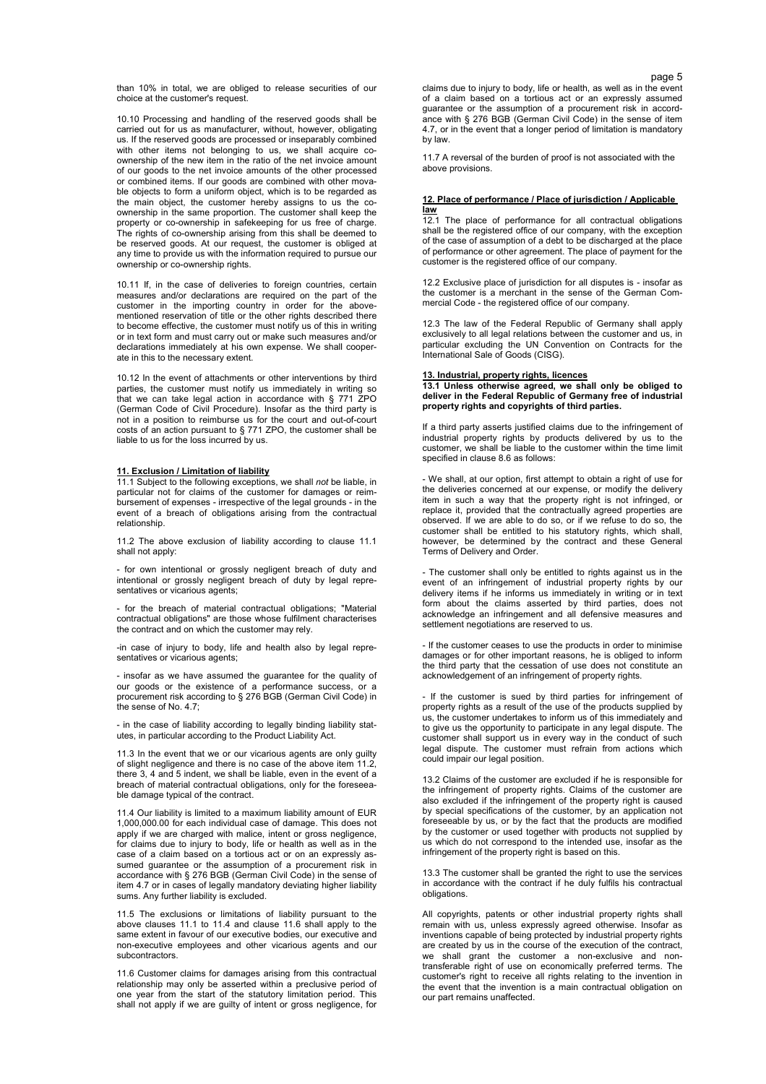than 10% in total, we are obliged to release securities of our choice at the customer's request.

10.10 Processing and handling of the reserved goods shall be carried out for us as manufacturer, without, however, obligating us. If the reserved goods are processed or inseparably combined with other items not belonging to us, we shall acquire coownership of the new item in the ratio of the net invoice amount of our goods to the net invoice amounts of the other processed or combined items. If our goods are combined with other movable objects to form a uniform object, which is to be regarded as the main object, the customer hereby assigns to us the coownership in the same proportion. The customer shall keep the property or co-ownership in safekeeping for us free of charge. The rights of co-ownership arising from this shall be deemed to be reserved goods. At our request, the customer is obliged at any time to provide us with the information required to pursue our ownership or co-ownership rights.

10.11 If, in the case of deliveries to foreign countries, certain measures and/or declarations are required on the part of the customer in the importing country in order for the abovementioned reservation of title or the other rights described there to become effective, the customer must notify us of this in writing or in text form and must carry out or make such measures and/or declarations immediately at his own expense. We shall cooperate in this to the necessary extent.

10.12 In the event of attachments or other interventions by third parties, the customer must notify us immediately in writing so that we can take legal action in accordance with § 771 ZPO (German Code of Civil Procedure). Insofar as the third party is not in a position to reimburse us for the court and out-of-court costs of an action pursuant to § 771 ZPO, the customer shall be liable to us for the loss incurred by us.

# **11. Exclusion / Limitation of liability**

11.1 Subject to the following exceptions, we shall *not* be liable, in particular not for claims of the customer for damages or reimbursement of expenses - irrespective of the legal grounds - in the event of a breach of obligations arising from the contractual relationship.

11.2 The above exclusion of liability according to clause 11.1 shall not apply:

- for own intentional or grossly negligent breach of duty and intentional or grossly negligent breach of duty by legal representatives or vicarious agents:

- for the breach of material contractual obligations; "Material contractual obligations" are those whose fulfilment characterises the contract and on which the customer may rely.

-in case of injury to body, life and health also by legal representatives or vicarious agents;

- insofar as we have assumed the guarantee for the quality of our goods or the existence of a performance success, or a procurement risk according to § 276 BGB (German Civil Code) in the sense of No. 4.7;

- in the case of liability according to legally binding liability statutes, in particular according to the Product Liability Act.

11.3 In the event that we or our vicarious agents are only guilty of slight negligence and there is no case of the above item 11.2, there 3, 4 and 5 indent, we shall be liable, even in the event of a breach of material contractual obligations, only for the foreseeable damage typical of the contract.

11.4 Our liability is limited to a maximum liability amount of EUR 1,000,000.00 for each individual case of damage. This does not apply if we are charged with malice, intent or gross negligence, for claims due to injury to body, life or health as well as in the case of a claim based on a tortious act or on an expressly assumed guarantee or the assumption of a procurement risk in accordance with § 276 BGB (German Civil Code) in the sense of item 4.7 or in cases of legally mandatory deviating higher liability sums. Any further liability is excluded.

11.5 The exclusions or limitations of liability pursuant to the above clauses 11.1 to 11.4 and clause 11.6 shall apply to the same extent in favour of our executive bodies, our executive and non-executive employees and other vicarious agents and our subcontractors.

11.6 Customer claims for damages arising from this contractual relationship may only be asserted within a preclusive period of one year from the start of the statutory limitation period. This shall not apply if we are guilty of intent or gross negligence, for

page 5 claims due to injury to body, life or health, as well as in the event of a claim based on a tortious act or an expressly assumed guarantee or the assumption of a procurement risk in accordance with § 276 BGB (German Civil Code) in the sense of item 4.7, or in the event that a longer period of limitation is mandatory by law.

> 11.7 A reversal of the burden of proof is not associated with the above provisions.

## **12. Place of performance / Place of jurisdiction / Applicable law**

12.1 The place of performance for all contractual obligations shall be the registered office of our company, with the exception of the case of assumption of a debt to be discharged at the place of performance or other agreement. The place of payment for the customer is the registered office of our company.

12.2 Exclusive place of jurisdiction for all disputes is - insofar as the customer is a merchant in the sense of the German Commercial Code - the registered office of our company.

12.3 The law of the Federal Republic of Germany shall apply exclusively to all legal relations between the customer and us, in particular excluding the UN Convention on Contracts for the International Sale of Goods (CISG).

### **13. Industrial, property rights, licences**

**13.1 Unless otherwise agreed, we shall only be obliged to deliver in the Federal Republic of Germany free of industrial property rights and copyrights of third parties.** 

If a third party asserts justified claims due to the infringement of industrial property rights by products delivered by us to the customer, we shall be liable to the customer within the time limit specified in clause 8.6 as follows:

- We shall, at our option, first attempt to obtain a right of use for the deliveries concerned at our expense, or modify the delivery item in such a way that the property right is not infringed, or replace it, provided that the contractually agreed properties are observed. If we are able to do so, or if we refuse to do so, the customer shall be entitled to his statutory rights, which shall, however, be determined by the contract and these General Terms of Delivery and Order.

- The customer shall only be entitled to rights against us in the event of an infringement of industrial property rights by our delivery items if he informs us immediately in writing or in text form about the claims asserted by third parties, does not acknowledge an infringement and all defensive measures and settlement negotiations are reserved to us.

- If the customer ceases to use the products in order to minimise damages or for other important reasons, he is obliged to inform the third party that the cessation of use does not constitute an acknowledgement of an infringement of property rights.

- If the customer is sued by third parties for infringement of property rights as a result of the use of the products supplied by us, the customer undertakes to inform us of this immediately and to give us the opportunity to participate in any legal dispute. The customer shall support us in every way in the conduct of such legal dispute. The customer must refrain from actions which could impair our legal position.

13.2 Claims of the customer are excluded if he is responsible for the infringement of property rights. Claims of the customer are also excluded if the infringement of the property right is caused by special specifications of the customer, by an application not foreseeable by us, or by the fact that the products are modified by the customer or used together with products not supplied by us which do not correspond to the intended use, insofar as the infringement of the property right is based on this.

13.3 The customer shall be granted the right to use the services in accordance with the contract if he duly fulfils his contractual obligations.

All copyrights, patents or other industrial property rights shall remain with us, unless expressly agreed otherwise. Insofar as inventions capable of being protected by industrial property rights are created by us in the course of the execution of the contract, we shall grant the customer a non-exclusive and nontransferable right of use on economically preferred terms. The customer's right to receive all rights relating to the invention in the event that the invention is a main contractual obligation on our part remains unaffected.